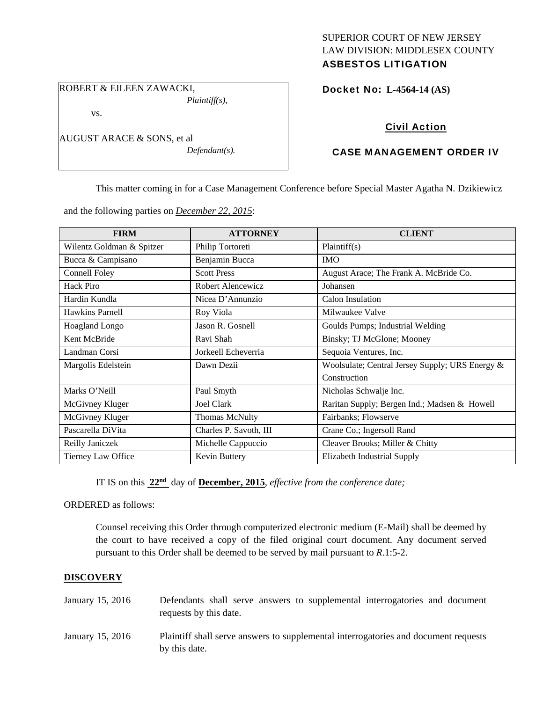# SUPERIOR COURT OF NEW JERSEY LAW DIVISION: MIDDLESEX COUNTY

# ASBESTOS LITIGATION

ROBERT & EILEEN ZAWACKI, *Plaintiff(s),* 

vs.

AUGUST ARACE & SONS, et al

*Defendant(s).* 

# Docket No: **L-4564-14 (AS)**

# Civil Action

# CASE MANAGEMENT ORDER IV

This matter coming in for a Case Management Conference before Special Master Agatha N. Dzikiewicz

and the following parties on *December 22, 2015*:

| <b>FIRM</b>               | <b>ATTORNEY</b>        | <b>CLIENT</b>                                   |
|---------------------------|------------------------|-------------------------------------------------|
| Wilentz Goldman & Spitzer | Philip Tortoreti       | Plaintiff(s)                                    |
| Bucca & Campisano         | Benjamin Bucca         | <b>IMO</b>                                      |
| Connell Foley             | <b>Scott Press</b>     | August Arace; The Frank A. McBride Co.          |
| <b>Hack Piro</b>          | Robert Alencewicz      | Johansen                                        |
| Hardin Kundla             | Nicea D'Annunzio       | Calon Insulation                                |
| <b>Hawkins Parnell</b>    | Roy Viola              | Milwaukee Valve                                 |
| <b>Hoagland Longo</b>     | Jason R. Gosnell       | Goulds Pumps; Industrial Welding                |
| Kent McBride              | Ravi Shah              | Binsky; TJ McGlone; Mooney                      |
| Landman Corsi             | Jorkeell Echeverria    | Sequoia Ventures, Inc.                          |
| Margolis Edelstein        | Dawn Dezii             | Woolsulate; Central Jersey Supply; URS Energy & |
|                           |                        | Construction                                    |
| Marks O'Neill             | Paul Smyth             | Nicholas Schwalje Inc.                          |
| McGivney Kluger           | Joel Clark             | Raritan Supply; Bergen Ind.; Madsen & Howell    |
| McGivney Kluger           | <b>Thomas McNulty</b>  | Fairbanks; Flowserve                            |
| Pascarella DiVita         | Charles P. Savoth, III | Crane Co.; Ingersoll Rand                       |
| Reilly Janiczek           | Michelle Cappuccio     | Cleaver Brooks; Miller & Chitty                 |
| Tierney Law Office        | Kevin Buttery          | Elizabeth Industrial Supply                     |

IT IS on this **22nd** day of **December, 2015**, *effective from the conference date;*

ORDERED as follows:

Counsel receiving this Order through computerized electronic medium (E-Mail) shall be deemed by the court to have received a copy of the filed original court document. Any document served pursuant to this Order shall be deemed to be served by mail pursuant to *R*.1:5-2.

## **DISCOVERY**

| January 15, 2016 | Defendants shall serve answers to supplemental interrogatories and document<br>requests by this date. |
|------------------|-------------------------------------------------------------------------------------------------------|
| January 15, 2016 | Plaintiff shall serve answers to supplemental interrogatories and document requests<br>by this date.  |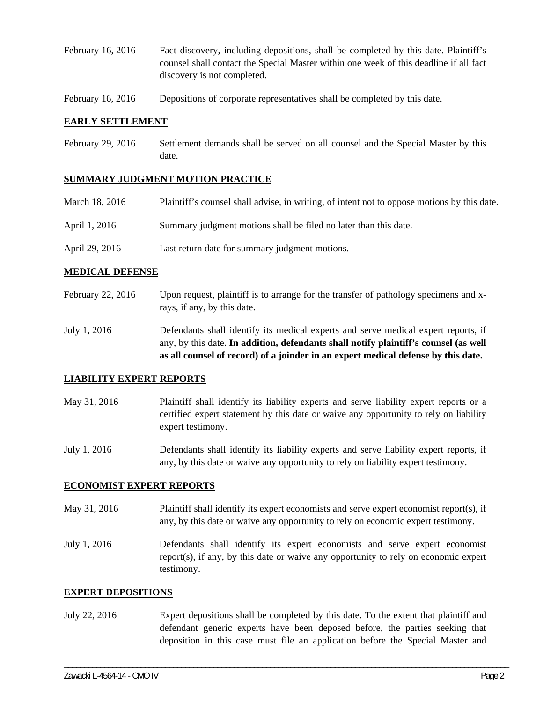- February 16, 2016 Fact discovery, including depositions, shall be completed by this date. Plaintiff's counsel shall contact the Special Master within one week of this deadline if all fact discovery is not completed.
- February 16, 2016 Depositions of corporate representatives shall be completed by this date.

#### **EARLY SETTLEMENT**

February 29, 2016 Settlement demands shall be served on all counsel and the Special Master by this date.

#### **SUMMARY JUDGMENT MOTION PRACTICE**

| March 18, 2016 | Plaintiff's counsel shall advise, in writing, of intent not to oppose motions by this date. |
|----------------|---------------------------------------------------------------------------------------------|
| April 1, 2016  | Summary judgment motions shall be filed no later than this date.                            |

April 29, 2016 Last return date for summary judgment motions.

#### **MEDICAL DEFENSE**

- February 22, 2016 Upon request, plaintiff is to arrange for the transfer of pathology specimens and xrays, if any, by this date.
- July 1, 2016 Defendants shall identify its medical experts and serve medical expert reports, if any, by this date. **In addition, defendants shall notify plaintiff's counsel (as well as all counsel of record) of a joinder in an expert medical defense by this date.**

#### **LIABILITY EXPERT REPORTS**

May 31, 2016 Plaintiff shall identify its liability experts and serve liability expert reports or a certified expert statement by this date or waive any opportunity to rely on liability expert testimony.

July 1, 2016 Defendants shall identify its liability experts and serve liability expert reports, if any, by this date or waive any opportunity to rely on liability expert testimony.

#### **ECONOMIST EXPERT REPORTS**

- May 31, 2016 Plaintiff shall identify its expert economists and serve expert economist report(s), if any, by this date or waive any opportunity to rely on economic expert testimony.
- July 1, 2016 Defendants shall identify its expert economists and serve expert economist report(s), if any, by this date or waive any opportunity to rely on economic expert testimony.

#### **EXPERT DEPOSITIONS**

July 22, 2016 Expert depositions shall be completed by this date. To the extent that plaintiff and defendant generic experts have been deposed before, the parties seeking that deposition in this case must file an application before the Special Master and

\_\_\_\_\_\_\_\_\_\_\_\_\_\_\_\_\_\_\_\_\_\_\_\_\_\_\_\_\_\_\_\_\_\_\_\_\_\_\_\_\_\_\_\_\_\_\_\_\_\_\_\_\_\_\_\_\_\_\_\_\_\_\_\_\_\_\_\_\_\_\_\_\_\_\_\_\_\_\_\_\_\_\_\_\_\_\_\_\_\_\_\_\_\_\_\_\_\_\_\_\_\_\_\_\_\_\_\_\_\_